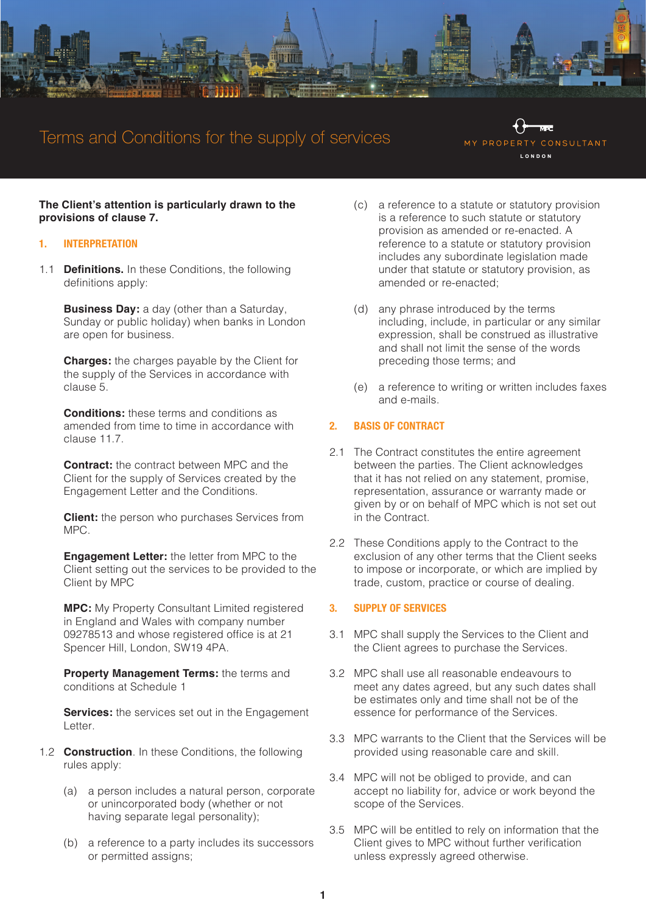

# Terms and Conditions for the supply of services

MY PROPERT CONSULTANT LONDON

**The Client's attention is particularly drawn to the provisions of clause 7.**

#### **1. INTERPRETATION**

1.1 **Definitions.** In these Conditions, the following definitions apply:

**Business Day:** a day (other than a Saturday, Sunday or public holiday) when banks in London are open for business.

**Charges:** the charges payable by the Client for the supply of the Services in accordance with clause 5.

**Conditions:** these terms and conditions as amended from time to time in accordance with clause 11.7.

**Contract:** the contract between MPC and the Client for the supply of Services created by the Engagement Letter and the Conditions.

**Client:** the person who purchases Services from MPC.

**Engagement Letter:** the letter from MPC to the Client setting out the services to be provided to the Client by MPC

**MPC:** My Property Consultant Limited registered in England and Wales with company number 09278513 and whose registered office is at 21 Spencer Hill, London, SW19 4PA.

**Property Management Terms:** the terms and conditions at Schedule 1

**Services:** the services set out in the Engagement Letter.

- 1.2 **Construction**. In these Conditions, the following rules apply:
	- (a) a person includes a natural person, corporate or unincorporated body (whether or not having separate legal personality);
	- (b) a reference to a party includes its successors or permitted assigns;
- (c) a reference to a statute or statutory provision is a reference to such statute or statutory provision as amended or re-enacted. A reference to a statute or statutory provision includes any subordinate legislation made under that statute or statutory provision, as amended or re-enacted;
- (d) any phrase introduced by the terms including, include, in particular or any similar expression, shall be construed as illustrative and shall not limit the sense of the words preceding those terms; and
- (e) a reference to writing or written includes faxes and e-mails.

## **2. BASIS OF CONTRACT**

- 2.1 The Contract constitutes the entire agreement between the parties. The Client acknowledges that it has not relied on any statement, promise, representation, assurance or warranty made or given by or on behalf of MPC which is not set out in the Contract.
- 2.2 These Conditions apply to the Contract to the exclusion of any other terms that the Client seeks to impose or incorporate, or which are implied by trade, custom, practice or course of dealing.

#### **3. SUPPLY OF SERVICES**

- 3.1 MPC shall supply the Services to the Client and the Client agrees to purchase the Services.
- 3.2 MPC shall use all reasonable endeavours to meet any dates agreed, but any such dates shall be estimates only and time shall not be of the essence for performance of the Services.
- 3.3 MPC warrants to the Client that the Services will be provided using reasonable care and skill.
- 3.4 MPC will not be obliged to provide, and can accept no liability for, advice or work beyond the scope of the Services.
- 3.5 MPC will be entitled to rely on information that the Client gives to MPC without further verification unless expressly agreed otherwise.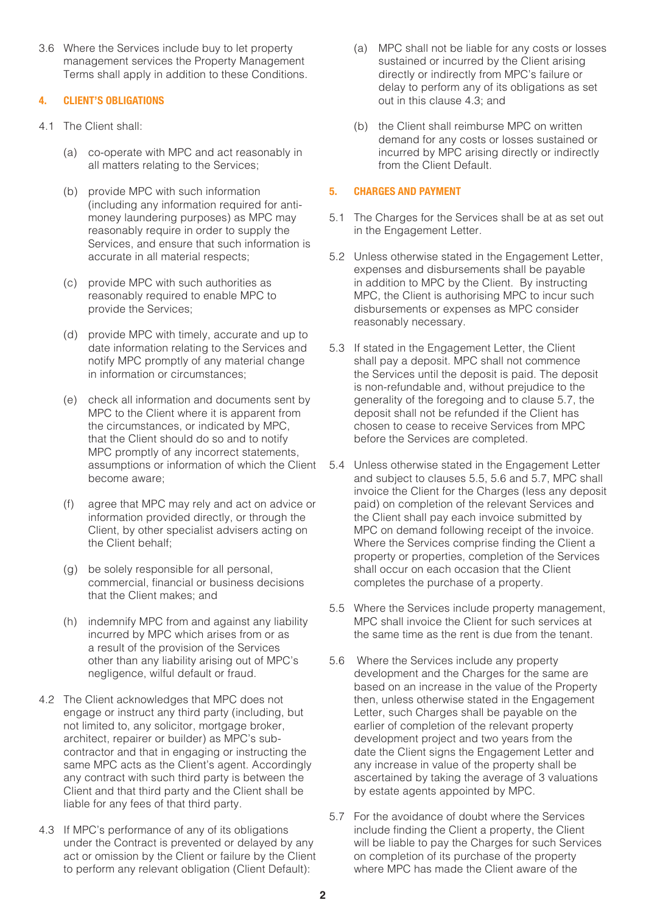3.6 Where the Services include buy to let property management services the Property Management Terms shall apply in addition to these Conditions.

## **4. CLIENT'S OBLIGATIONS**

- 4.1 The Client shall:
	- (a) co-operate with MPC and act reasonably in all matters relating to the Services;
	- (b) provide MPC with such information (including any information required for antimoney laundering purposes) as MPC may reasonably require in order to supply the Services, and ensure that such information is accurate in all material respects;
	- (c) provide MPC with such authorities as reasonably required to enable MPC to provide the Services;
	- (d) provide MPC with timely, accurate and up to date information relating to the Services and notify MPC promptly of any material change in information or circumstances;
	- (e) check all information and documents sent by MPC to the Client where it is apparent from the circumstances, or indicated by MPC, that the Client should do so and to notify MPC promptly of any incorrect statements, assumptions or information of which the Client become aware;
	- (f) agree that MPC may rely and act on advice or information provided directly, or through the Client, by other specialist advisers acting on the Client behalf;
	- (g) be solely responsible for all personal, commercial, financial or business decisions that the Client makes; and
	- (h) indemnify MPC from and against any liability incurred by MPC which arises from or as a result of the provision of the Services other than any liability arising out of MPC's negligence, wilful default or fraud.
- 4.2 The Client acknowledges that MPC does not engage or instruct any third party (including, but not limited to, any solicitor, mortgage broker, architect, repairer or builder) as MPC's subcontractor and that in engaging or instructing the same MPC acts as the Client's agent. Accordingly any contract with such third party is between the Client and that third party and the Client shall be liable for any fees of that third party.
- 4.3 If MPC's performance of any of its obligations under the Contract is prevented or delayed by any act or omission by the Client or failure by the Client to perform any relevant obligation (Client Default):
- (a) MPC shall not be liable for any costs or losses sustained or incurred by the Client arising directly or indirectly from MPC's failure or delay to perform any of its obligations as set out in this clause 4.3; and
- (b) the Client shall reimburse MPC on written demand for any costs or losses sustained or incurred by MPC arising directly or indirectly from the Client Default.

# **5. CHARGES AND PAYMENT**

- 5.1 The Charges for the Services shall be at as set out in the Engagement Letter.
- 5.2 Unless otherwise stated in the Engagement Letter, expenses and disbursements shall be payable in addition to MPC by the Client. By instructing MPC, the Client is authorising MPC to incur such disbursements or expenses as MPC consider reasonably necessary.
- 5.3 If stated in the Engagement Letter, the Client shall pay a deposit. MPC shall not commence the Services until the deposit is paid. The deposit is non-refundable and, without prejudice to the generality of the foregoing and to clause 5.7, the deposit shall not be refunded if the Client has chosen to cease to receive Services from MPC before the Services are completed.
- 5.4 Unless otherwise stated in the Engagement Letter and subject to clauses 5.5, 5.6 and 5.7, MPC shall invoice the Client for the Charges (less any deposit paid) on completion of the relevant Services and the Client shall pay each invoice submitted by MPC on demand following receipt of the invoice. Where the Services comprise finding the Client a property or properties, completion of the Services shall occur on each occasion that the Client completes the purchase of a property.
- 5.5 Where the Services include property management, MPC shall invoice the Client for such services at the same time as the rent is due from the tenant.
- 5.6 Where the Services include any property development and the Charges for the same are based on an increase in the value of the Property then, unless otherwise stated in the Engagement Letter, such Charges shall be payable on the earlier of completion of the relevant property development project and two years from the date the Client signs the Engagement Letter and any increase in value of the property shall be ascertained by taking the average of 3 valuations by estate agents appointed by MPC.
- 5.7 For the avoidance of doubt where the Services include finding the Client a property, the Client will be liable to pay the Charges for such Services on completion of its purchase of the property where MPC has made the Client aware of the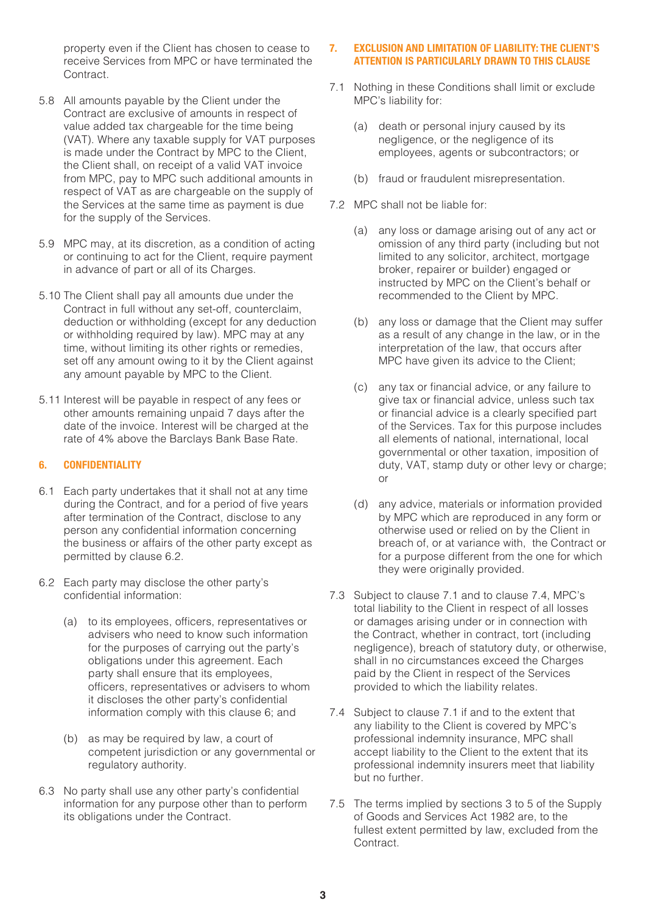property even if the Client has chosen to cease to receive Services from MPC or have terminated the Contract.

- 5.8 All amounts payable by the Client under the Contract are exclusive of amounts in respect of value added tax chargeable for the time being (VAT). Where any taxable supply for VAT purposes is made under the Contract by MPC to the Client, the Client shall, on receipt of a valid VAT invoice from MPC, pay to MPC such additional amounts in respect of VAT as are chargeable on the supply of the Services at the same time as payment is due for the supply of the Services.
- 5.9 MPC may, at its discretion, as a condition of acting or continuing to act for the Client, require payment in advance of part or all of its Charges.
- 5.10 The Client shall pay all amounts due under the Contract in full without any set-off, counterclaim, deduction or withholding (except for any deduction or withholding required by law). MPC may at any time, without limiting its other rights or remedies, set off any amount owing to it by the Client against any amount payable by MPC to the Client.
- 5.11 Interest will be payable in respect of any fees or other amounts remaining unpaid 7 days after the date of the invoice. Interest will be charged at the rate of 4% above the Barclays Bank Base Rate.

## **6. CONFIDENTIALITY**

- 6.1 Each party undertakes that it shall not at any time during the Contract, and for a period of five years after termination of the Contract, disclose to any person any confidential information concerning the business or affairs of the other party except as permitted by clause 6.2.
- 6.2 Each party may disclose the other party's confidential information:
	- (a) to its employees, officers, representatives or advisers who need to know such information for the purposes of carrying out the party's obligations under this agreement. Each party shall ensure that its employees, officers, representatives or advisers to whom it discloses the other party's confidential information comply with this clause 6; and
	- (b) as may be required by law, a court of competent jurisdiction or any governmental or regulatory authority.
- 6.3 No party shall use any other party's confidential information for any purpose other than to perform its obligations under the Contract.

# **7. EXCLUSION AND LIMITATION OF LIABILITY: THE CLIENT'S ATTENTION IS PARTICULARLY DRAWN TO THIS CLAUSE**

- 7.1 Nothing in these Conditions shall limit or exclude MPC's liability for:
	- (a) death or personal injury caused by its negligence, or the negligence of its employees, agents or subcontractors; or
	- (b) fraud or fraudulent misrepresentation.
- 7.2 MPC shall not be liable for:
	- (a) any loss or damage arising out of any act or omission of any third party (including but not limited to any solicitor, architect, mortgage broker, repairer or builder) engaged or instructed by MPC on the Client's behalf or recommended to the Client by MPC.
	- (b) any loss or damage that the Client may suffer as a result of any change in the law, or in the interpretation of the law, that occurs after MPC have given its advice to the Client;
	- (c) any tax or financial advice, or any failure to give tax or financial advice, unless such tax or financial advice is a clearly specified part of the Services. Tax for this purpose includes all elements of national, international, local governmental or other taxation, imposition of duty, VAT, stamp duty or other levy or charge; or
	- (d) any advice, materials or information provided by MPC which are reproduced in any form or otherwise used or relied on by the Client in breach of, or at variance with, the Contract or for a purpose different from the one for which they were originally provided.
- 7.3 Subject to clause 7.1 and to clause 7.4, MPC's total liability to the Client in respect of all losses or damages arising under or in connection with the Contract, whether in contract, tort (including negligence), breach of statutory duty, or otherwise, shall in no circumstances exceed the Charges paid by the Client in respect of the Services provided to which the liability relates.
- 7.4 Subject to clause 7.1 if and to the extent that any liability to the Client is covered by MPC's professional indemnity insurance, MPC shall accept liability to the Client to the extent that its professional indemnity insurers meet that liability but no further.
- 7.5 The terms implied by sections 3 to 5 of the Supply of Goods and Services Act 1982 are, to the fullest extent permitted by law, excluded from the Contract.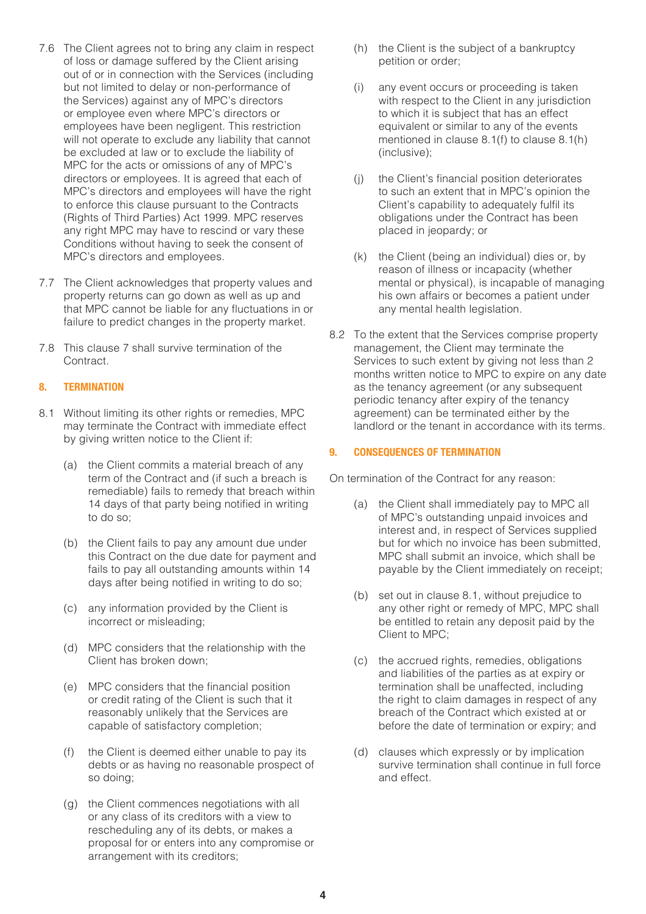- 7.6 The Client agrees not to bring any claim in respect of loss or damage suffered by the Client arising out of or in connection with the Services (including but not limited to delay or non-performance of the Services) against any of MPC's directors or employee even where MPC's directors or employees have been negligent. This restriction will not operate to exclude any liability that cannot be excluded at law or to exclude the liability of MPC for the acts or omissions of any of MPC's directors or employees. It is agreed that each of MPC's directors and employees will have the right to enforce this clause pursuant to the Contracts (Rights of Third Parties) Act 1999. MPC reserves any right MPC may have to rescind or vary these Conditions without having to seek the consent of MPC's directors and employees.
- 7.7 The Client acknowledges that property values and property returns can go down as well as up and that MPC cannot be liable for any fluctuations in or failure to predict changes in the property market.
- 7.8 This clause 7 shall survive termination of the Contract.

# **8. TERMINATION**

- 8.1 Without limiting its other rights or remedies, MPC may terminate the Contract with immediate effect by giving written notice to the Client if:
	- (a) the Client commits a material breach of any term of the Contract and (if such a breach is remediable) fails to remedy that breach within 14 days of that party being notified in writing to do so;
	- (b) the Client fails to pay any amount due under this Contract on the due date for payment and fails to pay all outstanding amounts within 14 days after being notified in writing to do so;
	- (c) any information provided by the Client is incorrect or misleading;
	- (d) MPC considers that the relationship with the Client has broken down;
	- (e) MPC considers that the financial position or credit rating of the Client is such that it reasonably unlikely that the Services are capable of satisfactory completion;
	- (f) the Client is deemed either unable to pay its debts or as having no reasonable prospect of so doing;
	- (g) the Client commences negotiations with all or any class of its creditors with a view to rescheduling any of its debts, or makes a proposal for or enters into any compromise or arrangement with its creditors;
- (h) the Client is the subject of a bankruptcy petition or order;
- (i) any event occurs or proceeding is taken with respect to the Client in any jurisdiction to which it is subject that has an effect equivalent or similar to any of the events mentioned in clause 8.1(f) to clause 8.1(h) (inclusive);
- (j) the Client's financial position deteriorates to such an extent that in MPC's opinion the Client's capability to adequately fulfil its obligations under the Contract has been placed in jeopardy; or
- (k) the Client (being an individual) dies or, by reason of illness or incapacity (whether mental or physical), is incapable of managing his own affairs or becomes a patient under any mental health legislation.
- 8.2 To the extent that the Services comprise property management, the Client may terminate the Services to such extent by giving not less than 2 months written notice to MPC to expire on any date as the tenancy agreement (or any subsequent periodic tenancy after expiry of the tenancy agreement) can be terminated either by the landlord or the tenant in accordance with its terms.

## **9. CONSEQUENCES OF TERMINATION**

On termination of the Contract for any reason:

- (a) the Client shall immediately pay to MPC all of MPC's outstanding unpaid invoices and interest and, in respect of Services supplied but for which no invoice has been submitted, MPC shall submit an invoice, which shall be payable by the Client immediately on receipt;
- (b) set out in clause 8.1, without prejudice to any other right or remedy of MPC, MPC shall be entitled to retain any deposit paid by the Client to MPC;
- (c) the accrued rights, remedies, obligations and liabilities of the parties as at expiry or termination shall be unaffected, including the right to claim damages in respect of any breach of the Contract which existed at or before the date of termination or expiry; and
- (d) clauses which expressly or by implication survive termination shall continue in full force and effect.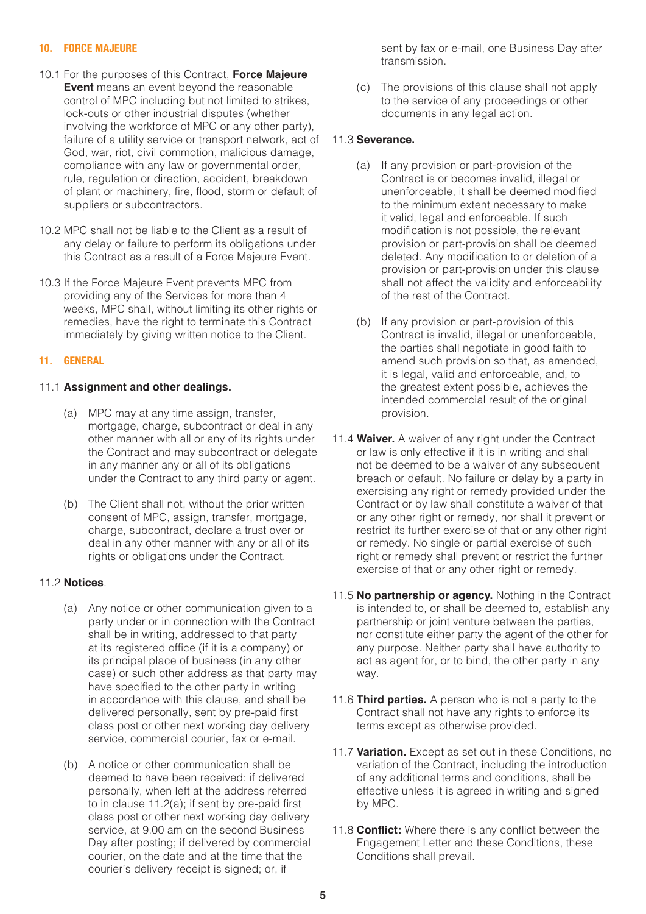#### **10. FORCE MAJEURE**

- 10.1 For the purposes of this Contract, **Force Majeure Event** means an event beyond the reasonable control of MPC including but not limited to strikes, lock-outs or other industrial disputes (whether involving the workforce of MPC or any other party), failure of a utility service or transport network, act of God, war, riot, civil commotion, malicious damage, compliance with any law or governmental order, rule, regulation or direction, accident, breakdown of plant or machinery, fire, flood, storm or default of suppliers or subcontractors.
- 10.2 MPC shall not be liable to the Client as a result of any delay or failure to perform its obligations under this Contract as a result of a Force Majeure Event.
- 10.3 If the Force Majeure Event prevents MPC from providing any of the Services for more than 4 weeks, MPC shall, without limiting its other rights or remedies, have the right to terminate this Contract immediately by giving written notice to the Client.

## **11. GENERAL**

#### 11.1 **Assignment and other dealings.**

- (a) MPC may at any time assign, transfer, mortgage, charge, subcontract or deal in any other manner with all or any of its rights under the Contract and may subcontract or delegate in any manner any or all of its obligations under the Contract to any third party or agent.
- (b) The Client shall not, without the prior written consent of MPC, assign, transfer, mortgage, charge, subcontract, declare a trust over or deal in any other manner with any or all of its rights or obligations under the Contract.

## 11.2 **Notices**.

- (a) Any notice or other communication given to a party under or in connection with the Contract shall be in writing, addressed to that party at its registered office (if it is a company) or its principal place of business (in any other case) or such other address as that party may have specified to the other party in writing in accordance with this clause, and shall be delivered personally, sent by pre-paid first class post or other next working day delivery service, commercial courier, fax or e-mail.
- (b) A notice or other communication shall be deemed to have been received: if delivered personally, when left at the address referred to in clause 11.2(a); if sent by pre-paid first class post or other next working day delivery service, at 9.00 am on the second Business Day after posting; if delivered by commercial courier, on the date and at the time that the courier's delivery receipt is signed; or, if

sent by fax or e-mail, one Business Day after transmission.

(c) The provisions of this clause shall not apply to the service of any proceedings or other documents in any legal action.

## 11.3 **Severance.**

- (a) If any provision or part-provision of the Contract is or becomes invalid, illegal or unenforceable, it shall be deemed modified to the minimum extent necessary to make it valid, legal and enforceable. If such modification is not possible, the relevant provision or part-provision shall be deemed deleted. Any modification to or deletion of a provision or part-provision under this clause shall not affect the validity and enforceability of the rest of the Contract.
- (b) If any provision or part-provision of this Contract is invalid, illegal or unenforceable, the parties shall negotiate in good faith to amend such provision so that, as amended, it is legal, valid and enforceable, and, to the greatest extent possible, achieves the intended commercial result of the original provision.
- 11.4 **Waiver.** A waiver of any right under the Contract or law is only effective if it is in writing and shall not be deemed to be a waiver of any subsequent breach or default. No failure or delay by a party in exercising any right or remedy provided under the Contract or by law shall constitute a waiver of that or any other right or remedy, nor shall it prevent or restrict its further exercise of that or any other right or remedy. No single or partial exercise of such right or remedy shall prevent or restrict the further exercise of that or any other right or remedy.
- 11.5 **No partnership or agency.** Nothing in the Contract is intended to, or shall be deemed to, establish any partnership or joint venture between the parties, nor constitute either party the agent of the other for any purpose. Neither party shall have authority to act as agent for, or to bind, the other party in any way.
- 11.6 **Third parties.** A person who is not a party to the Contract shall not have any rights to enforce its terms except as otherwise provided.
- 11.7 **Variation.** Except as set out in these Conditions, no variation of the Contract, including the introduction of any additional terms and conditions, shall be effective unless it is agreed in writing and signed by MPC.
- 11.8 **Conflict:** Where there is any conflict between the Engagement Letter and these Conditions, these Conditions shall prevail.